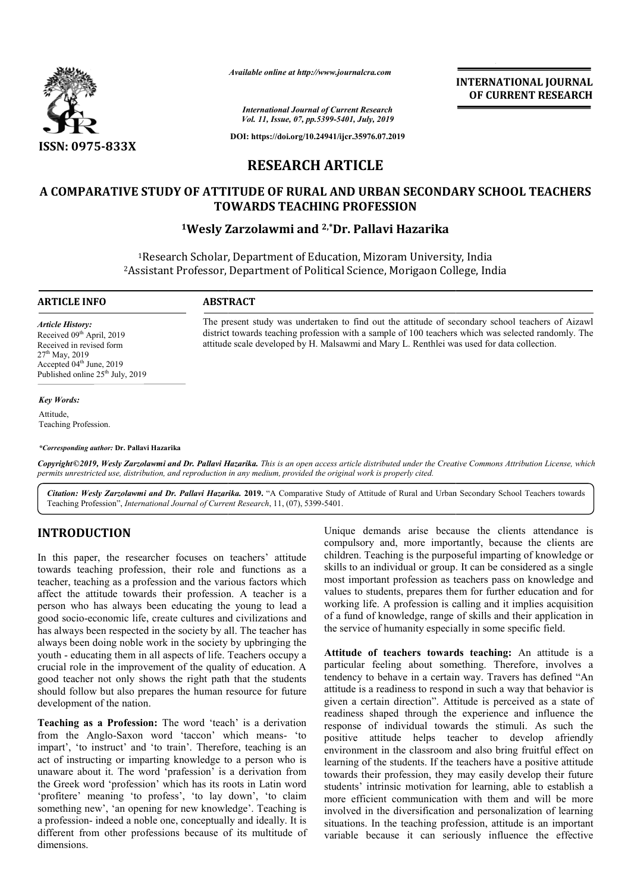

*Available online at http://www.journalcra.com*

**INTERNATIONAL JOURNAL OF CURRENT RESEARCH**

*International Journal of Current Research Vol. 11, Issue, 07, pp.5399-5401, July, 2019*

**DOI: https://doi.org/10.24941/ijcr.35976.07.2019**

# **RESEARCH ARTICLE**

# **A COMPARATIVE STUDY OF ATTITUDE OF RURAL AND URBAN SECONDARY SCHOOL TEACHERS A TEACHERS TOWARDS TEACHING PROFESSION**

# **1Wesly Zarzolawmi and Wesly 2,\*Dr. Pallavi Hazarika**

<sup>1</sup>Research Scholar, Department of Education, Mizoram University, India <sup>1</sup>Research Scholar, Department of Education, Mizoram University, India<br><sup>2</sup>Assistant Professor, Department of Political Science, Morigaon College, India

> The present study was undertaken to find out the attitude of secondary school teachers of Aizawl The present study was undertaken to find out the attitude of secondary school teachers of Aizawl district towards teaching profession with a sample of 100 teachers which was selected randomly. The

attitude scale developed by H. Malsawmi and Mary L. Renthlei was used for data collection.

#### **ARTICLE INFO ABSTRACT**

*Article History:* Received 09<sup>th</sup> April, 2019 Received in revised form 27<sup>th</sup> May, 2019 Accepted 04<sup>th</sup> June, 2019 Published online 25<sup>th</sup> July, 2019

#### *Key Words:*

Attitude, Teaching Profession.

*\*Corresponding author:* **Dr. Pallavi Hazarika**

Copyright©2019, Wesly Zarzolawmi and Dr. Pallavi Hazarika. This is an open access article distributed under the Creative Commons Attribution License, which permits unrestricted use, distribution, and reproduction in any medium, provided the original work is properly cited.

Citation: Wesly Zarzolawmi and Dr. Pallavi Hazarika. 2019. "A Comparative Study of Attitude of Rural and Urban Secondary School Teachers towards Teaching Profession", *International Journal of Current Research*, 11, (07), 5399-5401.

# **INTRODUCTION**

In this paper, the researcher focuses on teachers' attitude towards teaching profession, their role and functions as a teacher, teaching as a profession and the various factors which affect the attitude towards their profession. A teacher is a person who has always been educating the young to lead a good socio-economic life, create cultures and civilizations and has always been respected in the society by all. The teacher has always been doing noble work in the society by upbringing the youth - educating them in all aspects of life. Teachers occupy a crucial role in the improvement of the quality of education. A good teacher not only shows the right path that the students should follow but also prepares the human resource for future development of the nation. economic life, create cultures and civilizations and<br>been respected in the society by all. The teacher has<br>a doing noble work in the society by upbringing the<br>cating them in all aspects of life. Teachers occupy a<br>in the im

**Teaching as a Profession:** The word 'teach' is a derivation from the Anglo-Saxon word 'taccon' which means impart', 'to instruct' and 'to train'. Therefore, teaching is an act of instructing or imparting knowledge to a person who is unaware about it. The word 'prafession' is a derivation from the Greek word 'profession' which has its roots in Latin word 'profitere' meaning 'to profess', 'to lay down', 'to claim something new', 'an opening for new knowledge'. Teaching is a profession- indeed a noble one, conceptually and ideally. It is different from other professions because of its multitude of dimensions.

Unique demands arise because the clients attendance is compulsory and, more importantly, because the clients are children. Teaching is the purposeful imparting of knowledge or skills to an individual or group. It can be considered as a single most important profession as teachers pass on knowledge and values to students, prepares them for further education and for working life. A profession is calling and it implies acquisition of a fund of knowledge, range of skills and their application in the service of humanity especially in some specific field. Teaching is the purposeful imparting of knowledge or in individual or group. It can be considered as a single ortant profession as teachers pass on knowledge and students, prepares them for further education and for king life. A profession is calling and it implies<br>i fund of knowledge, range of skills and their ap<br>service of humanity especially in some specific

Example demands arise because the clients attendance is<br>compulsory and, more importantly, because the clients are<br>sension, their role and functions as a skills to an individual or group. It can be considered as a singles<br> Attitude of teachers towards teaching: An attitude is a particular feeling about something. Therefore, involves a tendency to behave in a certain way. Travers has defined "An attitude is a readiness to respond in such a way that behavior is particular feeling about something. Therefore, involves a tendency to behave in a certain way. Travers has defined "An attitude is a readiness to respond in such a way that behavior is given a certain direction". Attitude readiness shaped through the experience and influence the response of individual towards the stimuli. As such the positive attitude helps teacher to develop afriendly environment in the classroom and also bring fruitful effect on learning of the students. If the teachers have a positive attitude towards their profession, they may easily develop their future students' intrinsic motivation for learning, able to establish a more efficient communication with them and will be more involved in the diversification and personalization of learning situations. In the teaching profession, attitude is an important variable because it can seriously influence the effective **EXERVATIONAL JOURNAL FORMAL FORMAL FORMAL CONSUMPARENT RESEARCH (FLOREMENT RESEARCH 2013)**<br>
2013 CHAL ABOR 2012<br>
2013 CHAL ABOR 2012<br>
2014 CHAL ABOR SECONDARY SCHOOL TEACHERS<br>
CRIPTICLE AND URBAN SECONDARY SCHOOL TEACHER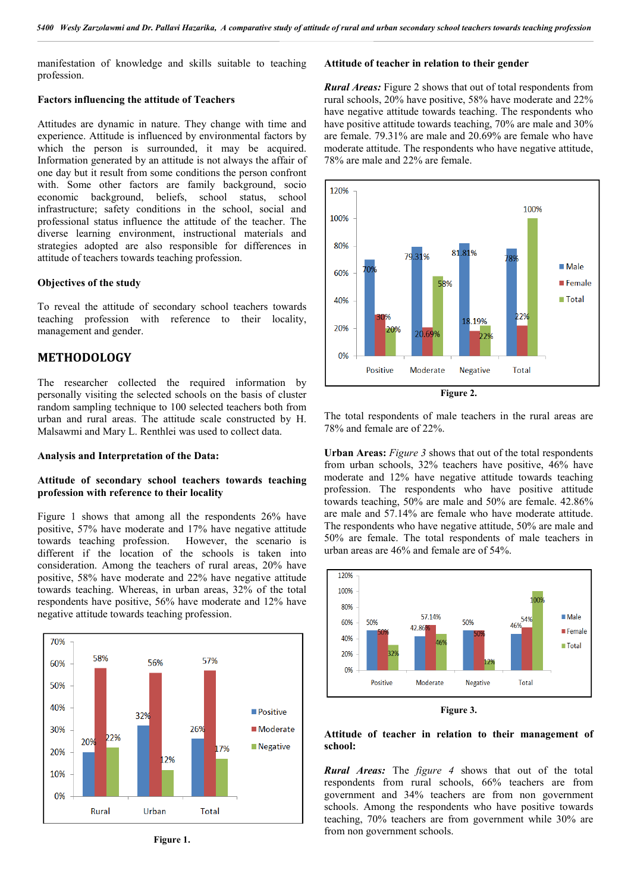manifestation of knowledge and skills suitable to teaching profession.

## **Factors influencing the attitude of Teachers**

Attitudes are dynamic in nature. They change with time and experience. Attitude is influenced by environmental factors by which the person is surrounded, it may be acquired. Information generated by an attitude is not always the affair of one day but it result from some conditions the person confront with. Some other factors are family background, socio economic background, beliefs, school status, school infrastructure; safety conditions in the school, social and professional status influence the attitude of the teacher. The diverse learning environment, instructional materials and strategies adopted are also responsible for differences in attitude of teachers towards teaching profession.

#### **Objectives of the study**

To reveal the attitude of secondary school teachers towards teaching profession with reference to their locality, management and gender.

# **METHODOLOGY**

The researcher collected the required information by personally visiting the selected schools on the basis of cluster random sampling technique to 100 selected teachers both from urban and rural areas. The attitude scale constructed by H. Malsawmi and Mary L. Renthlei was used to collect data.

## **Analysis and Interpretation of the Data:**

## **Attitude of secondary school teachers towards teaching profession with reference to their locality**

Figure 1 shows that among all the respondents 26% have positive, 57% have moderate and 17% have negative attitude towards teaching profession. However, the scenario is different if the location of the schools is taken into consideration. Among the teachers of rural areas, 20% have positive, 58% have moderate and 22% have negative attitude towards teaching. Whereas, in urban areas, 32% of the total respondents have positive, 56% have moderate and 12% have negative attitude towards teaching profession.



**Figure 1.**

# **Attitude of teacher in relation to their gender**

*Rural Areas:* Figure 2 shows that out of total respondents from rural schools, 20% have positive, 58% have moderate and 22% have negative attitude towards teaching. The respondents who have positive attitude towards teaching, 70% are male and 30% are female. 79.31% are male and 20.69% are female who have moderate attitude. The respondents who have negative attitude, 78% are male and 22% are female.



**Figure 2.**

The total respondents of male teachers in the rural areas are 78% and female are of 22%.

**Urban Areas:** *Figure 3* shows that out of the total respondents from urban schools, 32% teachers have positive, 46% have moderate and 12% have negative attitude towards teaching profession. The respondents who have positive attitude towards teaching, 50% are male and 50% are female. 42.86% are male and 57.14% are female who have moderate attitude. The respondents who have negative attitude, 50% are male and 50% are female. The total respondents of male teachers in urban areas are 46% and female are of 54%.



**Figure 3.**

## **Attitude of teacher in relation to their management of school:**

*Rural Areas:* The *figure 4* shows that out of the total respondents from rural schools, 66% teachers are from government and 34% teachers are from non government schools. Among the respondents who have positive towards teaching, 70% teachers are from government while 30% are from non government schools.